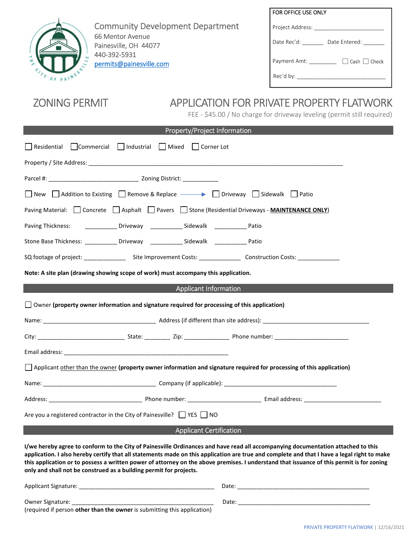

Community Development Department 66 Mentor Avenue Painesville, OH 44077 440-392-5931 permits@painesville.com

| FOR OFFICE USE ONLY                      |
|------------------------------------------|
| Project Address: _                       |
| Date Rec'd:<br>Date Entered:             |
| $\Box$ Cash $\Box$ Check<br>Payment Amt: |
| Rec'd by:                                |

# ZONING PERMIT APPLICATION FOR PRIVATE PROPERTY FLATWORK

FEE - \$45.00 / No charge for driveway leveling (permit still required)

|                                                                                                                                                                                                                                                                                                                                                                                                                                                                                                    |  | <b>Property/Project Information</b> |                                                                                                                                        |  |  |  |  |  |
|----------------------------------------------------------------------------------------------------------------------------------------------------------------------------------------------------------------------------------------------------------------------------------------------------------------------------------------------------------------------------------------------------------------------------------------------------------------------------------------------------|--|-------------------------------------|----------------------------------------------------------------------------------------------------------------------------------------|--|--|--|--|--|
| Residential Commercial Industrial Mixed Corner Lot                                                                                                                                                                                                                                                                                                                                                                                                                                                 |  |                                     |                                                                                                                                        |  |  |  |  |  |
|                                                                                                                                                                                                                                                                                                                                                                                                                                                                                                    |  |                                     |                                                                                                                                        |  |  |  |  |  |
|                                                                                                                                                                                                                                                                                                                                                                                                                                                                                                    |  |                                     |                                                                                                                                        |  |  |  |  |  |
| ■ New Addition to Existing Remove & Replace → ■ Driveway Bidewalk Patio                                                                                                                                                                                                                                                                                                                                                                                                                            |  |                                     |                                                                                                                                        |  |  |  |  |  |
| Paving Material: Concrete Asphalt Pavers Stone (Residential Driveways - MAINTENANCE ONLY)                                                                                                                                                                                                                                                                                                                                                                                                          |  |                                     |                                                                                                                                        |  |  |  |  |  |
| Paving Thickness: ________________ Driveway ______________ Sidewalk _____________ Patio                                                                                                                                                                                                                                                                                                                                                                                                            |  |                                     |                                                                                                                                        |  |  |  |  |  |
| Stone Base Thickness: _____________ Driveway _____________ Sidewalk _____________ Patio                                                                                                                                                                                                                                                                                                                                                                                                            |  |                                     |                                                                                                                                        |  |  |  |  |  |
|                                                                                                                                                                                                                                                                                                                                                                                                                                                                                                    |  |                                     | SQ footage of project: ____________________Site Improvement Costs: _____________________Construction Costs: __________________________ |  |  |  |  |  |
| Note: A site plan (drawing showing scope of work) must accompany this application.                                                                                                                                                                                                                                                                                                                                                                                                                 |  |                                     |                                                                                                                                        |  |  |  |  |  |
|                                                                                                                                                                                                                                                                                                                                                                                                                                                                                                    |  | <b>Applicant Information</b>        |                                                                                                                                        |  |  |  |  |  |
| $\Box$ Owner (property owner information and signature required for processing of this application)                                                                                                                                                                                                                                                                                                                                                                                                |  |                                     |                                                                                                                                        |  |  |  |  |  |
|                                                                                                                                                                                                                                                                                                                                                                                                                                                                                                    |  |                                     |                                                                                                                                        |  |  |  |  |  |
|                                                                                                                                                                                                                                                                                                                                                                                                                                                                                                    |  |                                     |                                                                                                                                        |  |  |  |  |  |
|                                                                                                                                                                                                                                                                                                                                                                                                                                                                                                    |  |                                     |                                                                                                                                        |  |  |  |  |  |
| Applicant other than the owner (property owner information and signature required for processing of this application)                                                                                                                                                                                                                                                                                                                                                                              |  |                                     |                                                                                                                                        |  |  |  |  |  |
|                                                                                                                                                                                                                                                                                                                                                                                                                                                                                                    |  |                                     |                                                                                                                                        |  |  |  |  |  |
|                                                                                                                                                                                                                                                                                                                                                                                                                                                                                                    |  |                                     |                                                                                                                                        |  |  |  |  |  |
| Are you a registered contractor in the City of Painesville? VES NO                                                                                                                                                                                                                                                                                                                                                                                                                                 |  |                                     |                                                                                                                                        |  |  |  |  |  |
| Applicant Certification                                                                                                                                                                                                                                                                                                                                                                                                                                                                            |  |                                     |                                                                                                                                        |  |  |  |  |  |
| I/we hereby agree to conform to the City of Painesville Ordinances and have read all accompanying documentation attached to this<br>application. I also hereby certify that all statements made on this application are true and complete and that I have a legal right to make<br>this application or to possess a written power of attorney on the above premises. I understand that issuance of this permit is for zoning<br>only and shall not be construed as a building permit for projects. |  |                                     |                                                                                                                                        |  |  |  |  |  |
| <b>Applicant Signature:</b>                                                                                                                                                                                                                                                                                                                                                                                                                                                                        |  | Date:                               |                                                                                                                                        |  |  |  |  |  |

Owner Signature: \_\_\_\_\_\_\_\_\_\_\_\_\_\_\_\_\_\_\_\_\_\_\_\_\_\_\_\_\_\_\_\_\_\_\_\_\_\_\_\_\_\_\_\_ Date: \_\_\_\_\_\_\_\_\_\_\_\_\_\_\_\_\_\_\_\_\_\_\_\_\_\_\_\_\_\_\_\_\_\_\_\_\_\_\_\_\_

| ч.<br>. .<br>× | ×<br>۰.<br>×<br>۰. |  |  |
|----------------|--------------------|--|--|
|                |                    |  |  |
|                |                    |  |  |
|                |                    |  |  |